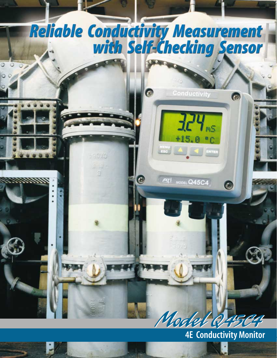

**4E Conductivity Monitor**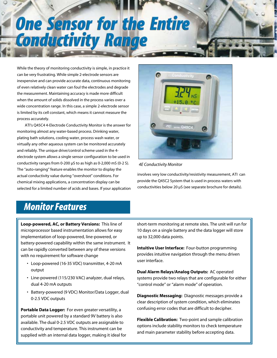# **One Sensor for the Entire Conductivity Range**

While the theory of monitoring conductivity is simple, in practice it can be very frustrating. While simple 2-electrode sensors are inexpensive and can provide accurate data, continuous monitoring of even relatively clean water can foul the electrodes and degrade the measurement. Maintaining accuracy is made more difficult when the amount of solids dissolved in the process varies over a wide concentration range. In this case, a simple 2-electrode sensor is limited by its cell constant, which means it cannot measure the process accurately.

ATI's Q45C4 4-Electrode Conductivity Monitor is the answer for monitoring almost any water-based process. Drinking water, plating bath solutions, cooling water, process wash water, or virtually any other aqueous system can be monitored accurately and reliably. The unique drive/control scheme used in the 4 electrode system allows a single sensor configuration to be used in conductivity ranges from 0-200 µS to as high as 0-2,000 mS (0-2 S). The "auto-ranging" feature enables the monitor to display the actual conductivity value during "overshoot" conditions. For chemical mixing applications, a concentration display can be selected for a limited number of acids and bases. If your application



*4E Conductivity Monitor*

involves very low conductivity/resistivity measurement, ATI can provide the Q45C2 System that is used in process waters with conductivities below 20 µS (see separate brochure for details).

### *Monitor Features*

**Loop-powered, AC, or Battery Versions:** This line of microprocessor based instrumentation allows for easy implementation of loop-powered, line-powered, or battery-powered capability within the same instrument. It can be rapidly converted between any of these versions with no requirement for software change

- Loop-powered (16-35 VDC) transmitter, 4-20 mA output
- Line-powered (115/230 VAC) analyzer, dual relays, dual 4-20 mA outputs
- Battery-powered (9 VDC) Monitor/Data Logger, dual 0-2.5 VDC outputs

**Portable Data Logger:** For even greater versatility, a portable unit powered by a standard 9V battery is also available. The dual 0-2.5 VDC outputs are assignable to conductivity and temperature. This instrument can be supplied with an internal data logger, making it ideal for

short-term monitoring at remote sites. The unit will run for 10 days on a single battery and the data logger will store up to 32,000 data points.

**Intuitive User Interface:** Four-button programming provides intuitive navigation through the menu driven user interface.

**Dual Alarm Relays/Analog Outputs:** AC operated systems provide two relays that are configurable for either "control mode" or "alarm mode" of operation.

**Diagnostic Messaging:** Diagnostic messages provide a clear description of system condition, which eliminates confusing error codes that are difficult to decipher.

**Flexible Calibration:** Two-point and sample calibration options include stability monitors to check temperature and main parameter stability before accepting data.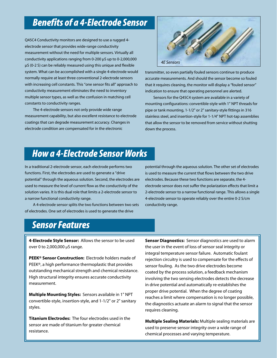### *Benefits of a 4-Electrode Sensor*

Q45C4 Conductivity monitors are designed to use a rugged 4 electrode sensor that provides wide-range conductivity measurement without the need for multiple sensors. Virtually all conductivity applications ranging from 0-200 µS up to 0-2,000,000 µS (0-2 S) can be reliably measured using this unique and flexible system. What can be accomplished with a single 4-electrode would normally require at least three conventional 2-electrode sensors with increasing cell constants. This "one sensor fits all" approach to conductivity measurement eliminates the need to inventory multiple sensor types, as well as the confusion in matching cell constants to conductivity ranges.

The 4-electrode sensors not only provide wide range measurement capability, but also excellent resistance to electrode coatings that can degrade measurement accuracy. Changes in electrode condition are compensated for in the electronic



transmitter, so even partially fouled sensors continue to produce accurate measurements. And should the sensor become so fouled that it requires cleaning, the monitor will display a "fouled sensor" indication to ensure that operating personnel are alerted.

Sensors for the Q45C4 system are available in a variety of mounting configurations: convertible-style with 1" NPT threads for pipe or tank mounting, 1-1/2" or 2" sanitary-style fittings in 316 stainless steel, and insertion-style for 1-1/4" NPT hot-tap assemblies that allow the sensor to be removed from service without shutting down the process.

### *How a 4-Electrode Sensor Works*

In a traditional 2-electrode sensor, each electrode performs two functions. First, the electrodes are used to generate a "drive potential" through the aqueous solution. Second, the electrodes are used to measure the level of current flow as the conductivity of the solution varies. It is this dual role that limits a 2-electrode sensor to a narrow functional conductivity range.

A 4-electrode sensor splits the two functions between two sets of electrodes. One set of electrodes is used to generate the drive

potential through the aqueous solution. The other set of electrodes is used to measure the current that flows between the two drive electrodes. Because these two functions are separate, the 4 electrode sensor does not suffer the polarization effects that limit a 2-electrode sensor to a narrow functional range. This allows a single 4-electrode sensor to operate reliably over the entire 0-2 S/cm conductivity range.

### *Sensor Features*

**4-Electrode Style Sensor:** Allows the sensor to be used over 0 to 2,000,000 µS range.

**PEEK® Sensor Construction:** Electrode holders made of PEEK®, a high performance thermoplastic that provides outstanding mechanical strength and chemical resistance. High structural integrity ensures accurate conductivity measurement.

**Multiple Mounting Styles:** Sensors available in 1" NPT convertible-style, insertion-style, and 1-1/2" or 2" sanitary styles.

**Titanium Electrodes:** The four electrodes used in the sensor are made of titanium for greater chemical resistance.

**Sensor Diagnostics:** Sensor diagnostics are used to alarm the user in the event of loss of sensor seal integrity or integral temperature sensor failure. Automatic foulant rejection circuitry is used to compensate for the effects of sensor fouling. As the two drive electrodes become coated by the process solution, a feedback mechanism involving the two sensing electrodes detects the decrease in drive potential and automatically re-establishes the proper drive potential. When the degree of coating reaches a limit where compensation is no longer possible, the diagnostics actuate an alarm to signal that the sensor requires cleaning.

**Multiple Sealing Materials:** Multiple sealing materials are used to preserve sensor integrity over a wide range of chemical processes and varying temperature.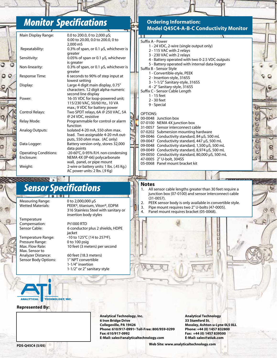### *Monitor Specifications*

| Main Display Range:          | 0.0 to 200.0, 0 to 2,000 µS;                             |  |                                           |
|------------------------------|----------------------------------------------------------|--|-------------------------------------------|
|                              | 0.00 to 20.00, 0.0 to 200.0, 0 to                        |  | Suffix A - Power                          |
| Repeatability:               | 2.000 mS<br>0.3% of span, or 0.1 µS, whichever is        |  | 1 - 24 VDC, 2-wi                          |
|                              | greater                                                  |  | 2 - 115 VAC wit                           |
| Sensitivity:                 | 0.05% of span or 0.1 µS, whichever                       |  | 3 - 230 VAC wit<br>4 - Battery oper       |
|                              | is greater                                               |  | 5 - Battery oper                          |
| Non-linearity:               | 0.3% of span, or 0.1 µS, whichever is                    |  | Suffix B - Sensor Styl                    |
|                              | greater                                                  |  | 1 - Convertible-                          |
| Response Time:               | 6 seconds to 90% of step input at<br>lowest setting      |  | 2 - Insertion-sty                         |
| Display:                     | Large 4 digit main display, 0.75"                        |  | 3 - 1-1/2" Sanita                         |
|                              | characters. 12 digit alpha-numeric                       |  | 4 - 2" Sanitary-s                         |
|                              | second line display                                      |  | Suffix C - Sensor Cab<br>1 - 15 feet      |
| Power:                       | 16-35 VDC for loop-powered unit;                         |  | 2 - 30 feet                               |
|                              | 115/230 VAC, 50/60 Hz., 10 VA                            |  | 9 - Special                               |
|                              | max.; 9 VDC for battery power                            |  |                                           |
| <b>Control Relays:</b>       | Two SPDT relays, 6A @ 250 VAC, 5A<br>@ 24 VDC, resistive |  | <b>OPTIONS:</b>                           |
| Relay Mode:                  | Programmable for control or alarm                        |  | 00-0048 Junction b                        |
|                              | function                                                 |  | 07-0100 NEMA 4X j<br>31-0057 Sensor inte  |
| <b>Analog Outputs:</b>       | Isolated 4-20 mA, 550 ohm max.                           |  | 07-0202 Submersio                         |
|                              | load. Two assignable 4-20 mA out-                        |  | 09-0046 Conductiv                         |
|                              | puts, 550 ohm max. (AC only)                             |  | 09-0047 Conductiv                         |
| Data Logger:                 | Battery version only, stores 32,000<br>data points       |  | 09-0048 Conductiv                         |
| <b>Operating Conditions:</b> | $-20-60^{\circ}$ C, 0-95% R.H. non-condensing            |  | 09-0049 Conductiv                         |
| Enclosure:                   | NEMA 4X (IP-66) polycarbonate                            |  | 09-0050 Conductiv<br>47-0005 2" U-bolt, 3 |
|                              | wall, panel, or pipe mount                               |  | 05-0068 Panel mou                         |
| Weight:                      | 2-wire or battery units: 1 lbs. (.45 Kg.)                |  |                                           |
|                              | AC power units: 2 lbs. (.9 Kg)                           |  |                                           |

## *Sensor Specifications*

Measuring Range: 0 to 2,000,000 µS<br>Wetted Materials: PEEK® titanium.

**Temperature** Compensation: Pt1000 RTD<br>Sensor Cable: 6 conductor

Pressure Range:<br>Max. Flow Rate: Max. Sensor to<br>Analyzer Distance: Sensor Body Options: 1" NPT convertible

PEEK®, titanium, Viton®, EDPM 316 Stainless Steel with sanitary or insertion body styles

6 conductor plus 2 shields, HDPE jacket Temperature Range:  $-10$  to 125°C (14 to 257°F).<br>Pressure Range: 0 to 100 psig 10 feet (3 meters) per second

> 60 feet (18.3 meters) 1-1/4" insertion 1-1/2" or 2" sanitary-style

#### **Ordering Information: Model Q45C4-A-B-C Conductivity Monitor**

|  | <b>JUILIA A FLUWEI</b>                           |
|--|--------------------------------------------------|
|  | 1 - 24 VDC, 2-wire (single output only)          |
|  | 2 - 115 VAC with 2 relays                        |
|  | 3 - 230 VAC with 2 relays                        |
|  | 4 - Battery operated with two 0-2.5 VDC outputs  |
|  | 5 - Battery operated with internal data-logger   |
|  | Suffix B - Sensor Style                          |
|  | 1 - Convertible-style, PEEK                      |
|  | 2 - Insertion-style, 316SS                       |
|  | 3 - 1-1/2" Sanitary-style, 316SS                 |
|  | 4 - 2" Sanitary-style, 316SS                     |
|  | Suffix C - Sensor Cable Length                   |
|  | 1 - 15 feet                                      |
|  | 2 - 30 feet                                      |
|  |                                                  |
|  | 9 - Special                                      |
|  | OPTIONS:                                         |
|  | 00-0048 Junction box                             |
|  |                                                  |
|  | 07-0100 NEMA 4X junction box                     |
|  | 31-0057 Sensor interconnect cable                |
|  | 07-0202 Submersion mounting hardware             |
|  | 09-0046 Conductivity standard, 84 µS, 500 mL     |
|  | 09-0047 Conductivity standard, 447 µS, 500 mL    |
|  | 09-0048 Conductivity standard, 1,500 µS, 500 mL  |
|  | 09-0049 Conductivity standard, 8,974 µS, 500 mL  |
|  | 09-0050 Conductivity standard, 80,000 µS, 500 mL |
|  | 47-0005 2" U-bolt, 304SS                         |
|  | 05-0068 Panel mount bracket kit                  |

69

### **Notes**

- All sensor cable lengths greater than 30 feet require a junction box (07-0100) and sensor interconnect cable (31-0057).
- 2. PEEK sensor body is only available in convertible style.
- 
- 3. Pipe mount requires two 2" U-bolts (47-0005).<br>4. Panel mount requires bracket (05-0068). Panel mount requires bracket (05-0068).



#### **Represented By:**

**Analytical Technology, Inc. 6 Iron Bridge Drive Collegeville, PA 19426 Phone: 610/917-0991• Toll-Free: 800/959-0299 Fax: 610/917-0992 E-Mail: sales@analyticaltechnology.com**

**Analytical Technology 33 Stamford St. Mossley, Ashton-u-Lyne 0L5 0LL Phone: +44 (0) 1457 832800 Fax: +44 (0) 1457 839500 E-Mail: sales@atiuk.com**

**Web Site: www.analyticaltechnology.com**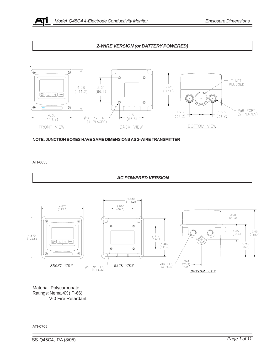

#### *2-WIRE VERSION (or BATTERY POWERED)*



**NOTE: JUNCTION BOXES HAVE SAME DIMENSIONS AS 2-WIRE TRANSMITTER**

ATI-0655



Material: Polycarbonate Ratings: Nema 4X (IP-66) V-0 Fire Retardant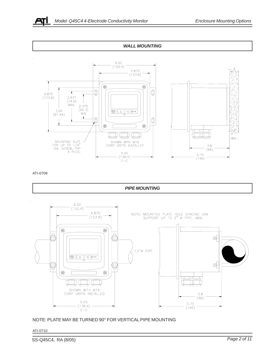







NOTE: PLATE MAY BE TURNED 90° FOR VERTICAL PIPE MOUNTING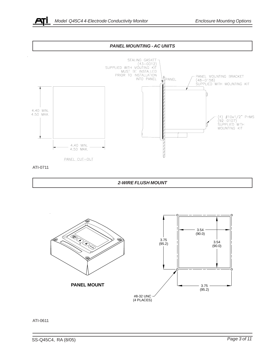







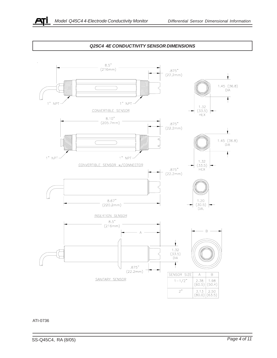

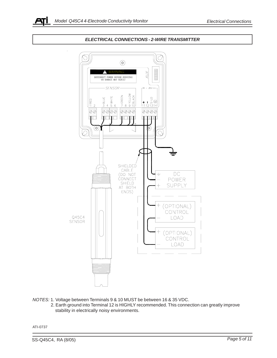

#### *ELECTRICAL CONNECTIONS - 2-WIRE TRANSMITTER*



*NOTES:* 1. Voltage between Terminals 9 & 10 MUST be between 16 & 35 VDC.

 2. Earth ground into Terminal 12 is HIGHLY recommended. This connection can greatly improve stability in electrically noisy environments.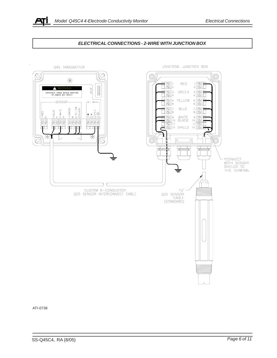

#### *ELECTRICAL CONNECTIONS - 2-WIRE WITH JUNCTION BOX*

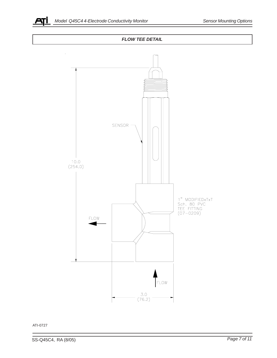



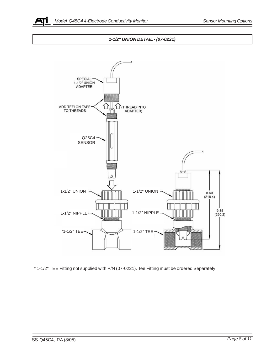

#### *1-1/2" UNION DETAIL - (07-0221)*



\* 1-1/2" TEE Fitting not supplied with P/N (07-0221). Tee Fitting must be ordered Separately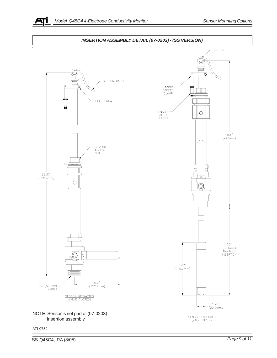

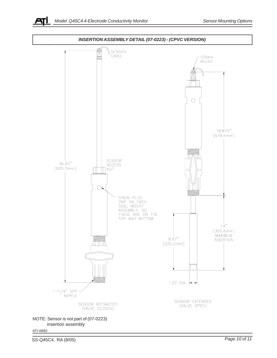